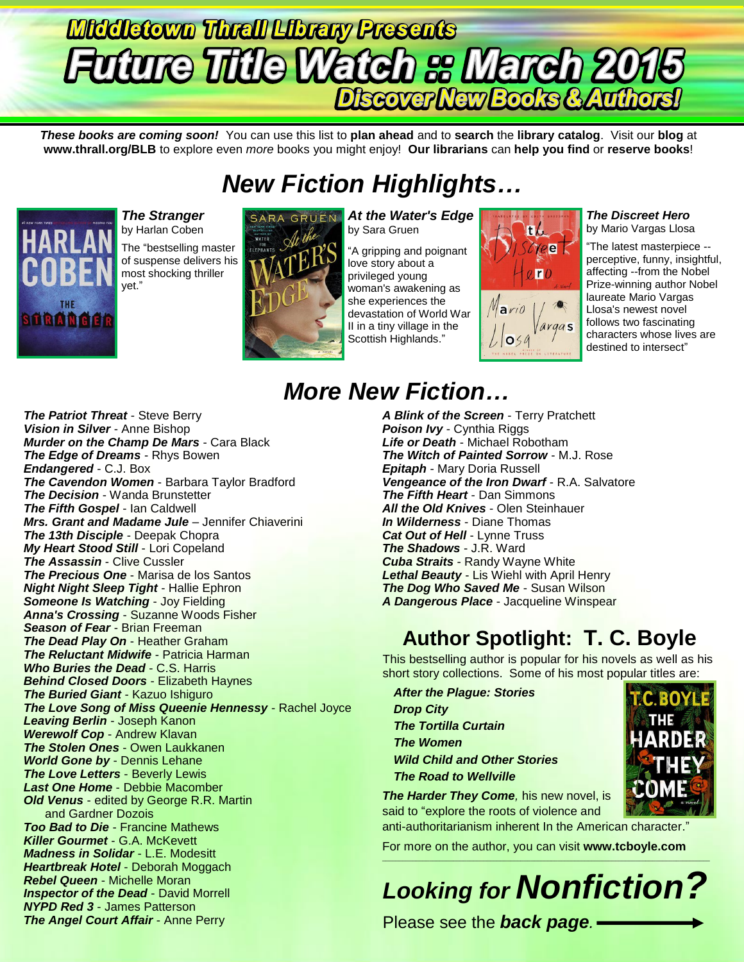# **Middletown Thrall Library Presents** Discover New Books & Authors!

*These books are coming soon!* You can use this list to **plan ahead** and to **search** the **library catalog**. Visit our **blog** at **www.thrall.org/BLB** to explore even *more* books you might enjoy! **Our librarians** can **help you find** or **reserve books**!

## *New Fiction Highlights…*



*The Stranger* by Harlan Coben The "bestselling master of suspense delivers his most shocking thriller

yet."



*At the Water's Edge* by Sara Gruen

"A gripping and poignant love story about a privileged young woman's awakening as she experiences the devastation of World War II in a tiny village in the Scottish Highlands."



### *The Discreet Hero*

by Mario Vargas Llosa

"The latest masterpiece - perceptive, funny, insightful, affecting --from the Nobel Prize-winning author Nobel laureate Mario Vargas Llosa's newest novel follows two fascinating characters whose lives are destined to intersect"

*The Patriot Threat* - Steve Berry *Vision in Silver* - Anne Bishop *Murder on the Champ De Mars* - Cara Black *The Edge of Dreams* - Rhys Bowen *Endangered* - C.J. Box *The Cavendon Women* - Barbara Taylor Bradford *The Decision* - Wanda Brunstetter *The Fifth Gospel* - Ian Caldwell *Mrs. Grant and Madame Jule* – Jennifer Chiaverini *The 13th Disciple* - Deepak Chopra *My Heart Stood Still* - Lori Copeland *The Assassin* - Clive Cussler *The Precious One* - Marisa de los Santos *Night Night Sleep Tight* - Hallie Ephron *Someone Is Watching* - Joy Fielding *Anna's Crossing* - Suzanne Woods Fisher *Season of Fear* - Brian Freeman *The Dead Play On* - Heather Graham *The Reluctant Midwife* - Patricia Harman *Who Buries the Dead* - C.S. Harris *Behind Closed Doors* - Elizabeth Haynes *The Buried Giant* - Kazuo Ishiguro *The Love Song of Miss Queenie Hennessy* - Rachel Joyce *Leaving Berlin* - Joseph Kanon *Werewolf Cop* - Andrew Klavan *The Stolen Ones* - Owen Laukkanen *World Gone by* - Dennis Lehane *The Love Letters* - Beverly Lewis *Last One Home* - Debbie Macomber *Old Venus* - edited by George R.R. Martin and Gardner Dozois *Too Bad to Die* - Francine Mathews *Killer Gourmet* - G.A. McKevett *Madness in Solidar* - L.E. Modesitt *Heartbreak Hotel* - Deborah Moggach *Rebel Queen* - Michelle Moran **Inspector of the Dead - David Morrell** *NYPD Red 3* - James Patterson *The Angel Court Affair - Anne Perry* 

## *More New Fiction…*

*A Blink of the Screen* - Terry Pratchett *Poison Ivy* - Cynthia Riggs *Life or Death* - Michael Robotham *The Witch of Painted Sorrow* - M.J. Rose *Epitaph* - Mary Doria Russell *Vengeance of the Iron Dwarf* - R.A. Salvatore *The Fifth Heart* - Dan Simmons *All the Old Knives* - Olen Steinhauer *In Wilderness* - Diane Thomas *Cat Out of Hell* - Lynne Truss *The Shadows* - J.R. Ward *Cuba Straits* - Randy Wayne White *Lethal Beauty* - Lis Wiehl with April Henry *The Dog Who Saved Me* - Susan Wilson *A Dangerous Place* - Jacqueline Winspear

## **Author Spotlight: T. C. Boyle**

This bestselling author is popular for his novels as well as his short story collections. Some of his most popular titles are:

*After the Plague: Stories Drop City The Tortilla Curtain The Women Wild Child and Other Stories The Road to Wellville*

**The Harder They Come**, his new novel, is said to "explore the roots of violence and

anti-authoritarianism inherent In the American character."

For more on the author, you can visit **[www.tcboyle.com](http://www.tcboyle.com/)**

*Looking for Nonfiction?*

\_\_\_\_\_\_\_\_\_\_\_\_\_\_\_\_\_\_\_\_\_\_\_\_\_\_\_\_\_\_\_\_\_\_\_\_\_\_\_\_\_\_\_\_\_\_\_\_\_\_\_\_\_\_\_\_\_\_\_\_\_\_\_\_\_\_\_\_\_\_\_\_\_\_\_\_\_\_\_\_\_\_\_\_\_\_\_\_\_\_\_\_\_\_\_\_\_

Please see the *back page.*